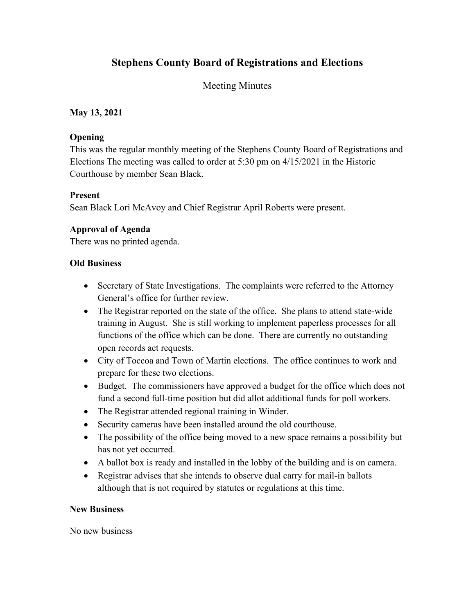# **Stephens County Board of Registrations and Elections**

# Meeting Minutes

### **May 13, 2021**

#### **Opening**

This was the regular monthly meeting of the Stephens County Board of Registrations and Elections The meeting was called to order at 5:30 pm on 4/15/2021 in the Historic Courthouse by member Sean Black.

#### **Present**

Sean Black Lori McAvoy and Chief Registrar April Roberts were present.

## **Approval of Agenda**

There was no printed agenda.

### **Old Business**

- Secretary of State Investigations. The complaints were referred to the Attorney General's office for further review.
- The Registrar reported on the state of the office. She plans to attend state-wide training in August. She is still working to implement paperless processes for all functions of the office which can be done. There are currently no outstanding open records act requests.
- City of Toccoa and Town of Martin elections. The office continues to work and prepare for these two elections.
- Budget. The commissioners have approved a budget for the office which does not fund a second full-time position but did allot additional funds for poll workers.
- The Registrar attended regional training in Winder.
- Security cameras have been installed around the old courthouse.
- The possibility of the office being moved to a new space remains a possibility but has not yet occurred.
- A ballot box is ready and installed in the lobby of the building and is on camera.
- Registrar advises that she intends to observe dual carry for mail-in ballots although that is not required by statutes or regulations at this time.

#### **New Business**

No new business